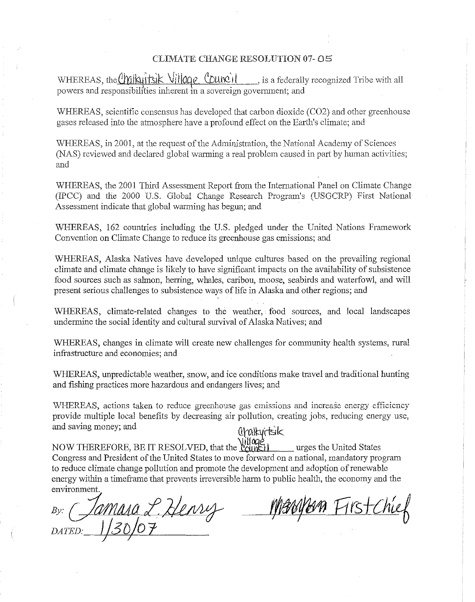#### CLIMATE CHANGE RESOLUTION 07- 05

WHEREAS, the Chilkuits K Village Council , is a federally recognized Tribe with all powers and responsibilities inherent in a sovereign government; and

WHEREAS, scientific consensus has developed that carbon dioxide (C02) and other greenhouse gases released into the atmosphere have a profound effect on the Earth's climate; and

WHEREAS, in 2001, at the request of the Administration, the National Academy of Sciences (NAS) reviewed and declared global warming a real problem caused in part by human activities; and

WHEREAS, the 2001 Third Assessment Report from the International Panel on Climate Change (IPCe) and the 2000 U.S. Global Change Research Program's (USGCRP) First National Assessment indicate that global warming has begun; and

WHEREAS, 162 countries including the U.S. pledged under the United Nations Framework Convention on Climate Change to reduce its greenhouse gas emissions; and

WHEREAS, Alaska Natives have developed unique cultures based on the prevailing regional climate and climate change is likely to have significant impacts on the availability of subsistence food sources such as salmon, herring, whales, caribou, moose, seabirds and waterfowl, and will present serious challenges to subsistence ways of life in Alaska and other regions; and

WHEREAS, climate-related changes to the weather, food sources, and local landscapes undermine the social identity and cultural survival of Alaska Natives; and

WHEREAS, changes in climate will create new challenges for community health systems, rural infrastructure and economies; and

WHEREAS, unpredictable weather, snow, and ice conditions make travel and traditional hunting and fishing practices more hazardous and endangers lives; and

WHEREAS, actions taken to reduce greenhouse gas emissions and increase energy efficiency provide multiple loeal benefits by decreasing air pollution, creating jobs, reducing energy use, and saving money; and  $\hat{\theta}$ 

NOW THEREFORE, BE IT RESOLVED, that the **liquided** urges the United States Congress and President of the United States to move forward on a national, mandatory program to reduce climate change pollution and promote the development and adoption ofrenewable energy within a timeframe that prevents irreversible harm to public health, the economy and the environment.

*By:* cfamllAf1 *£,2kA!J4r f//9fljWn* Rrs+{11~ *DATED:* Jj3*DJO* 1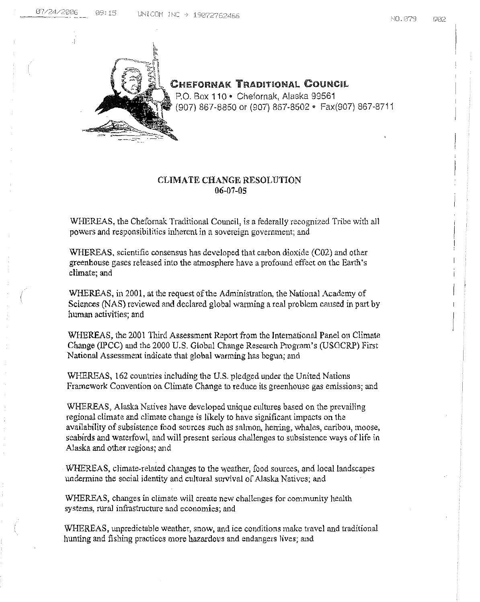

CHEFORNAK TRADITIONAL COUNCIL

P.O. Box 110 · Chefornak, Alaska 99561 (907) 867-8850 or (907) 867-8502 · Fax(907) 867-8711

# CLIMATE CHANGE RESOLUTION 06-07-05

WHEREAS, the Chefornak Traditional Council, is a federally recognized Tribe with all powers and responsibilities inherent in a sovereign government; and.

WHEREAS, scientific consensus has developed that carbon dioxide  $(C02)$  and other greenhouse gases released into the atmosphere have a profound effect on the Earth's climate; and

WHEREAS, in 2001, at the request of the Administration, the National Academy of Sciences (NAS) reviewedand declared globalwarming a real problem caused in part by human activities; and

WHEREAS, the 2001 Third Assessment Report from the International Panel on Climate Change (IpeC) and the 2000 U.S. Global Change Research Program's (USGCRP) First National Assessment indicate that global warming has begun; and

WHEREAS, 162 countries including the U.S. pledged under the United Nations Framework Convention on Climate Change to reduce its greenhouse gas emissions; and

WHEREAS, Alaska Natives have developed unique cultures based on the prevailing regional climate and climate change is likely to have significant impacts on the availabilityof subsistence food sources such as salmon, herring, whales, caribou, moose, seabirds and waterfowl, and will present serious challenges to subsistence ways of life in Alaska and other regions; and

WHEREAS, climate-related changes to the weather, food sources, and local landscapes undermine the social identity and cultural survival of Alaska Natives; and

WHEREAS, changes in climate will create new challenges for community health systems, rural infrastructure and economies; and

WHEREAS, unpredictable weather, snow, and ice conditions make travel and traditional hunting and fishing practices more hazardous and endangers lives; and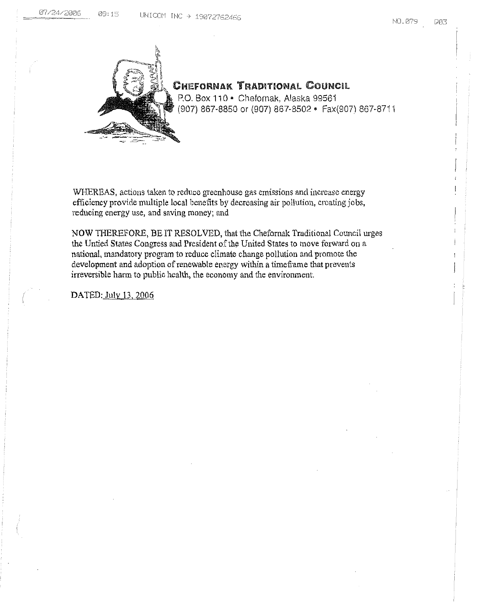

# CHEFORNAK TRADITIONAL COUNCil

P.O. Box 110 · Chefornak, Alaska 99561 (907) 867-8850 or (907) 867-8502· Fax(907) 867-87i 1

WHEREAS, actions taken to reduce greenhouse gas emissions and increase energy efficiency provide multiple local benefits by decreasing air pollution, creating jobs, reducing energy use, and saving money; and

NOW THEREFORE, BE IT RESOLVED, that the Chefornak Traditional Council urges the Untied States Congress and President of the United States to move forward on a national, mandatory program to reduce climate change pollution and promote the development and adoption of renewable energy within a timeframe that prevents irreversible harm to public health, the economy and the environment.

DATED: July 13, 2006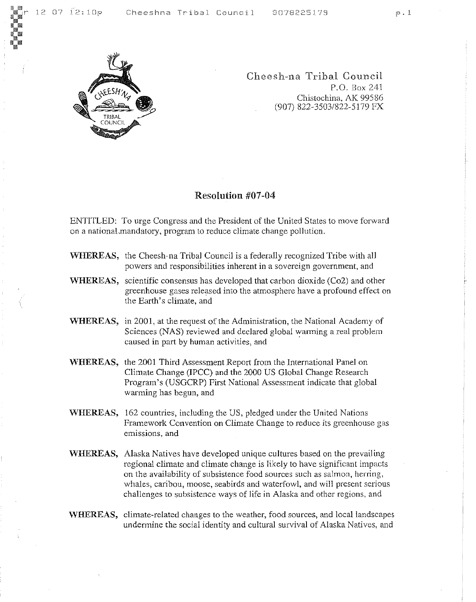

Cheesh-na Tribal Council P.O. Box 241 Chistochina, AK 99586 (907) 822-3503/822-5179 FX

# Resolution #07-04

ENTITLED: To urge Congress and the President of the United States to move forward on a national.mandatory, program to reduce climate change pol1ution.

- WHEREAS, the Cheesh-na Tribal Council is a federally recognized Tribe with al1 powers and responsibilities inherent in a sovereign government, and
- WHEREAS, scientific consensus has developed that carbon dioxide (Co2) and other greenhouse gases released into the atmosphere have a profound effect on the Earth's climate, and
- WHEREAS, in 2001, at the request of the Administration, the National Academy of Sciences (NAS) reviewed and declared global warming a real problem caused in part by human activities, and
- \'VHEREAS, the 2001 Third Assessment Report from the International Panel on Climate Change (IPCC) and the 2000 US Global Change Research Program's (USGCRP) First National Assessment indicate that global warming has begun, and
- WHEREAS, 162 countries, including the US, pledged under the United Nations Framework Convention on Climate Change to reduce its greenhouse gas emissions, and
- WHEREAS, Alaska Natives have developed unique cultures based on the prevailing regional climate and climate change is likely to have significant impacts on the availability of subsistence food sources such as salmon, herring, whales, caribou, moose, seabirds and waterfowl, and will present serious challenges to subsistence ways of life in Alaska and other regions. and
- 'WHEREAS, climate-related changes to the weather, food sources, and local landscapes undermine the social identity and cultural survival of Alaska Natives, and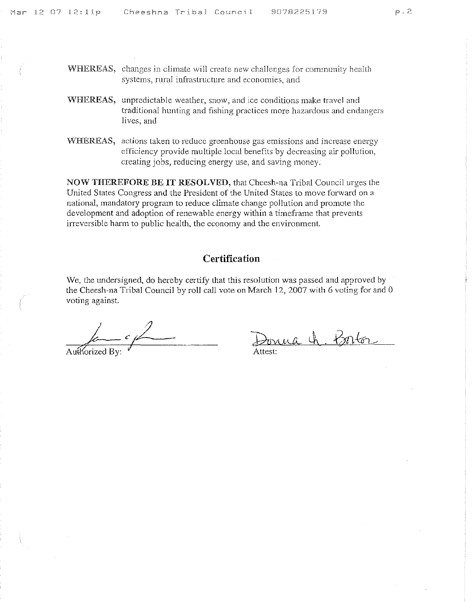- 'WHEREAS, changes in climate will create new challenges for community health systems, rural infrastructure and economies, and
- 'WHEREAS, unpredictable weather, snow, and ice conditions make travel and traditional hunting and fishing practices more hazardous and endangers **Jives, and**
- WHEREAS, actions taken to reduce greenhouse gas emissions and increase energy efficiency provide multiple local benefits by decreasing air pollution, creating jobs, reducing energy use, and saving money.

NOW THEREFORE BE IT RESOLVED, that Cheesh-na Tribal Council urges the United States Congress and the President of the United States to move forward on a national, mandatory program to reduce climate change pollution and promote the development and adoption of renewable energy within a timeframe that prevents irreversible harm to public health, the economy and the environment.

# **Certification**

We, the undersigned, do hereby certify that this resolution was passed and approved by the Cheesh-na Tribal Council by roll call vote on March 12, 2007 with 6 voting for and 0 voting against.

 $\mathcal{I} = \mathcal{I}$  $\epsilon \not\!\!\!\perp$ Authorized By:

a h. Borton Attest: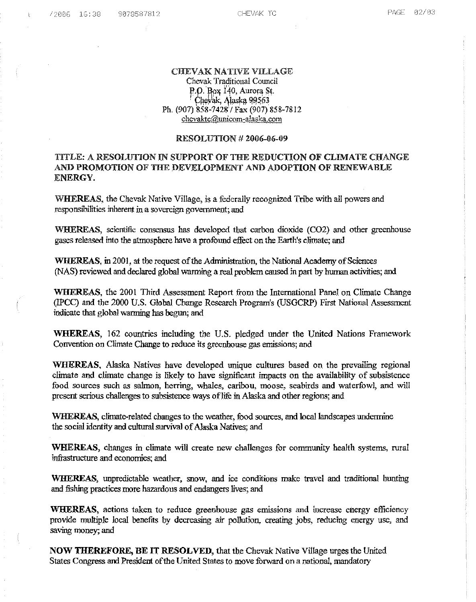$\mathbf{t}$ 

# CBEVAK NATIVE VILLAGE

Chevak Traditional Council<br>P.O. Box 140, Aurora St. ~·r·1t>>; <sup>1</sup>'40.' Aurora ~1· *.9!wYiJk,* Alas"ll fl!l~61 Ph. (907) 858-7428'( Fa." (907) 858-7812 chcvaktc@unicom-alaska.com

#### RESOLUTION # 2006-06-09

# TITLE: A RESOLUTION IN SUPPORT OF THE REDUCTION OF CLIMATE CHANGE AND PROMOTION OF THE DEVELOPMENT AND ADOPTION OF RENEWABLE ENERGY.

WHEREAS, the Chevak Native Village, is a federally recognized Tribe with all powers and responsibilities inherent in a sovereign government; and

WHEREAS, scientific consensus has developed that carbon dioxide (CO2) and other greenhouse gases released into the atmosphere have a profound effect on the Earth's climate; and

WHEREAS, in 2001, at the request of the Administration, the National Academy of Sciences (NAS) reviewed and declared global warming a real problem caused in part by human activities; and

WHEREAS, the 2001 Third Assessment Report from the International Panel on Climate Change (IPeC) and the 2000 U.s. Global Change Research Program's (USGCRP) First National Assessment indicate that globalwarming has begun; and

WHEREAS, 162 countries including the U.S. pledged under the United Nations Framework Convention on Climate Change to reduce its greenhouse gas emissions; and

WHEREAS, Alaska Natives have developed unique cultures based on the prevailing regional climate and climate change is likely to have significant impacts on the availability of subsistence food. sources such as salmon, herring, whales, caribou, moose, seabirds and waterfowl, and will present serious challenges to subsistence ways of life in Alaska and other regions; and

WHEREAS, climate-related changes to the weather, food sources, and local landscapes undermine the social identity and cultural survival of Alaska Natives; and

WHEREAS, changes in climate will create new challenges for community health systems, rural infrastructure and economies; and

WHERFAS, unpredictable weather, snow, and ice conditions make travel and traditional hunting and fishing practices more hazardous and endangers lives; and

WHEREAS, actions taken to reduce greenhouse gas emissions and increase energy efficiency provide multiple local benefits by decreasing air pollution, creating jobs, reducing energy use, and saving money; and

NOW THEREFORE, BE IT RESOLVED, that the Chevak Native Village urges the United. States Congress and President of the United States to move forward on a national, mandatory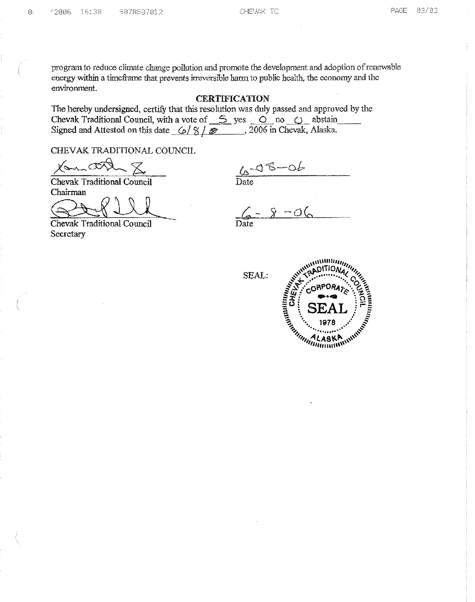program to reduce climate change pollution and promote the development and adoption of renewable energy within a timeframe that prevents irreversible harm to public health, the economy and the environment.

# **CERTIFICATION**

The hereby undersigned, certify that this resolution was duly passed and approved by the Chevak Traditional Council, with a vote of  $\leq$  yes  $\circ$  no  $\circ$  abstain Signed and Attested on this date  $6/8$  /  $\approx$  006 in Chevak, Alaska.

CHEVAK TRADITIONAL COUNCIL

Kom O  $\cdot \times$ 

**Chevak Traditional Council** Chairman

Chevak Traditional Council Secretary

 $45 - 06$ <br>Date

 $6 - 8 - 06$ 

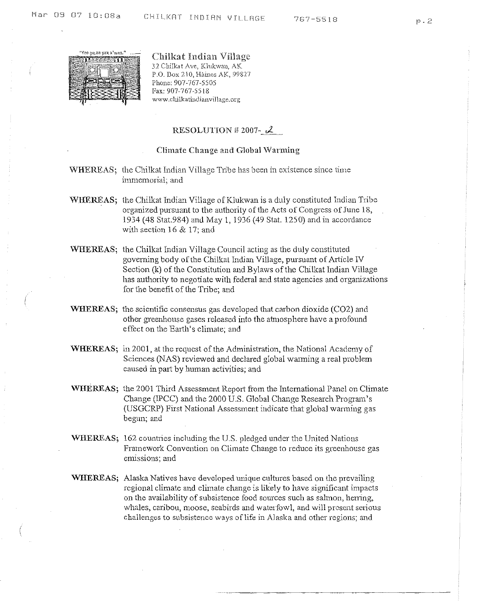Chilkat Indian Village 32 Chilkat Ave, Klukwan, AK P.O. Box 210, Haines AK, 99827 Phone: 907-767-5505 Fax: 907-767-5518 **www.chilkatindianvil1age.org**

# RESOLUTION # 2007- $2$

#### Climate Change and Global Warming

- WHEREAS; the Chilkat Indian Village Tribe has been in existence since time immemorial; and
- WHEREAS; the Chilkat Indian Village of Klukwan is a duly constituted Indian Tribe organized pursuant to the authority of the Acts of Congress of June 18, 1934 (48 Stat.984) and May 1,1936 (49 Stat. 1250) and in accordance with section 16 & 17; and
- WHEREAS; the Chilkat Indian VilJage Council acting as the duly constituted governing body of the Chilkat Indian Village, pursuant of Article IV Section (k) of the Constitution and Bylaws of the Chilkat Indian Village has authority to negotiate with federal and state agencies and organizations for the benefit of the Tribe; and
- **WHEREAS;** the scientific consensus gas developed that carbon dioxide (C02) and other greenhouse gases released into the atmosphere have a profound effect on the Earth's climate; and
- **WHEREAS;** in 2001, at the request of the Administration, the National Academy of Sciences (NAS) reviewed and declared global warming a real problem caused in part by human activities; and
- **WHEREAS;** the 2001 Third Assessment Report from the International Panel on Climate Change (IPCC) and the 2000 U.S. Global Change Research Program's (USGCRP) First National Assessment indicate that global warming gas begun; and
- **WHEREAS;** 162 countries including the US. pledged under the United Nations Framework Convention on Climate Change to reduce its greenhouse gas **emissions;** and
- **WHEREAS;** Alaska Natives have developed unique cultures based on the prevailing regional climate and climate change is likely to have significant impacts on the availability of subsistence food sources such as salmon, herring, whales, caribou, moose, seabirds and waterfowl, and will present serious challenges to subsistence ways of life in Alaska and other regions; and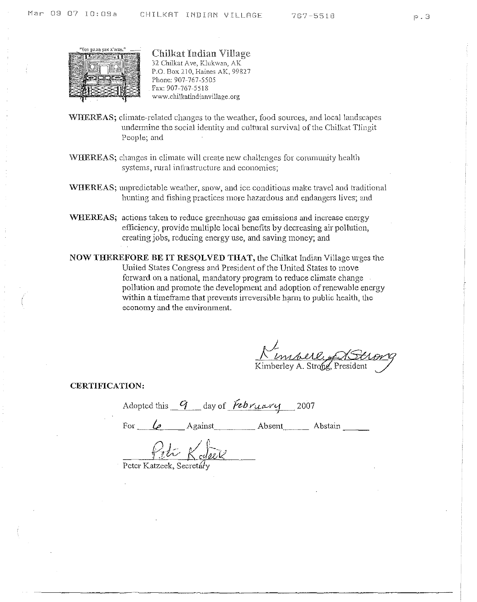

"Yee gu.aa yax x'wan." \_\_\_\_<br>ar : e.s. aasta ax x'wan." \_\_\_\_\_ Chilkat Indian Village 32 Chilkat Ave, KJukwan, AK P.O, Box 210, Haines AK, 99827 Phone: 907-767-5505 Pax: 907-767-5518 www.chilkatindianvillage.org

- 'WHEREAS; climate-related changes to the weather, food sources, and local landscapes undermine the social identity and cultural survival of the Chilkat Tlingit People; and
- WHEREAS; changes in climate will create new challenges for community health systems, rural intrastructure and economies;
- WHEREAS; unpredictable weather, snow, and ice conditions make travel and traditional hunting and fishing practices more hazardous and endangers lives; and
- WHEREAS; actions taken to reduce greenhouse gas emissions and increase energy efficiency, provide multiple local benefits by decreasing air pollution, creating jobs, reducing energy use, and saving money; and
- NOW THEREFORE BE IT RESQLVED THAT, the Chilkat Indian Village urges the United States Congress and President of the United States to move forward on a national, mandatory program to reduce climate change pollution and promote the development and adoption of renewable energy within a timeframe that prevents irreversible harm to public health, the economy and the environment,

Kimperle of St

CERTIFICATION:

Adopted this  $q$  day of *february* 2007

/ Abstain --- For

Peter Katzeek, Secretary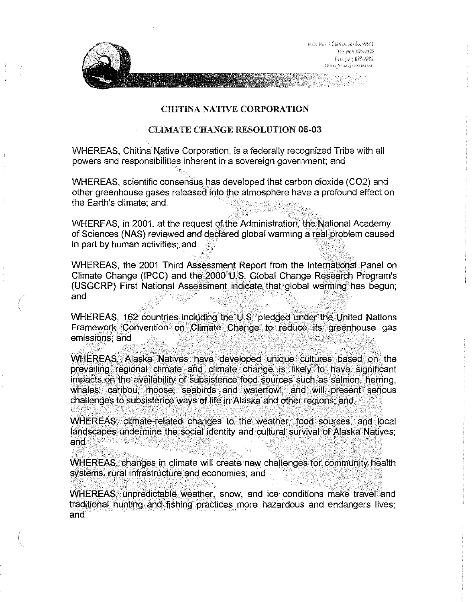p.O. Bm FClinton, Abobs SSS66 1il: itely 437-223 Fax: soin 023-9902 Gany SaintSrievensen



# CHITINA NATIVE CORPORATION

# CLIMATE CHANGE RESOLUTION 06-03

WHEREAS, Chitina Native Corporation, is a federally recognized Tribe with all powers and responsibilities inherent in a sovereign government; and

WHEREAS, scientific consensus has developed that carbon dioxide (C02) and other greenhouse gases released into the atmosphere have a profound effect on the Earth's climate; and

WHEREAS, in 2001, at the request of the Administration, the National Academy of Sciences (NAS) reviewed and declared global warming a real problem caused in part by human activities; and

WHEREAS, the 2001 Third Assessment Report from the International Panel on Climate Change (IPCC) and the 2000 U.S. Global Change Research Program's (USGCRP) First National Assessment indicate that global warming has begun; and

WHEREAS, 162 countries including the U.S. pledged under the United Nations Framework Convention on Climate Change to reduce its greenhouse gas emissions; and

WHEREAS, Alaska Natives have developed unique cultures based on the prevailing regional climate and climate change is likely to have significant impacts on the availability of subsistence food sources such as salmon, herring, whales, caribou, moose, seabirds and waterfowl, and will present serious challenges to subsistence ways of life in Alaska and other regions; and

WHEREAS, climate-related changes to the weather, food sources, and local landscapes undermine the social identity and cultural survival of Alaska Natives; and

WHEREAS, changes in climate will create new challenges for community health systems, rural infrastructure and economies; and

WHEREAS, unpredictable weather, snow, and ice conditions make travel and traditional hunting and fishing practices more hazardous and endangers lives; and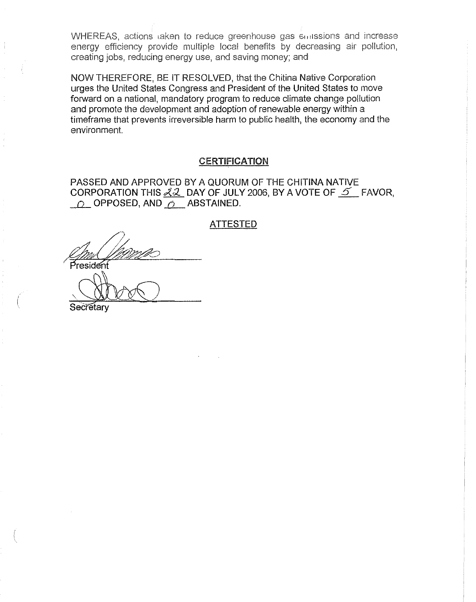WHEREAS, actions taken to reduce greenhouse gas emissions and increase energy efficiency provide multiple local benefits by decreasing air pollution, creating jobs, reducing energy use, and saving money; and

NOW THEREFORE, BE IT RESOLVED, that the Chitina Native Corporation urges the United States Congress and President of the United States to move forward on a national, mandatory program to reduce climate change pollution and promote the development and adoption of renewable energy within a timeframe that prevents irreversible harm to public health, the economy and the environment.

# **CERTIFICATION**

PASSED AND APPROVED BY A QUORUM OF THE CHITINA NATIVE CORPORATION THIS  $\n *22*\n DAY OF JULY 2006, BY A VOTE OF  $\n *5*$  FAVOR,$  $\overline{O}$  OPPOSED, AND  $\overline{O}$  ABSTAINED.

### ATTESTED

resident

**Secretary**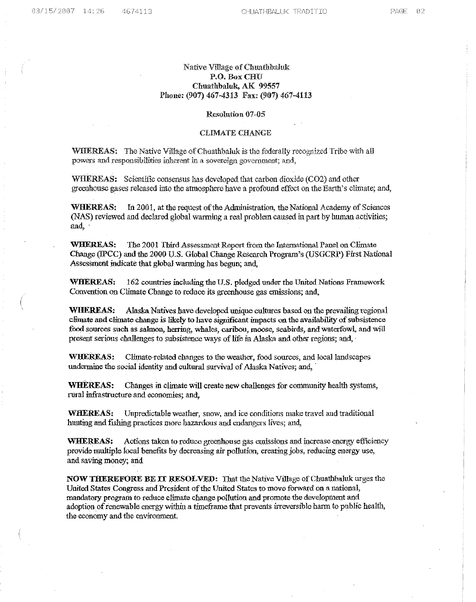#### Native Village ofChuathbaluk P.O. BoxCRU Chuathbaluk, AK 99557 Phone: (907) 467-4313 Fax: (907) 467-4113

#### Resolution 07-05

#### CLIMATE CHANGE

WHEREAS: The Native Village of Chuathbaluk is the federally recognized Tribe with all powers and responsibilities inherent in a sovereign government; and,

WHEREAS: Scientific consensus has developed that carbon dioxide (C02) and other greenhouse gases released into the atmosphere have a profound effect on the Earth's climate; and,

WHEREAS: In 2001, at the request of the Administration, the National Academy of Sciences (NAS) reviewed and declared global warming a real problem caused in part by human activities; and,

WHEREAS: The 2001 Third Assessment Report from the International Panel on Climate Change (WCC) and the 2000 U.S. Global Change Research Program's (USGCRP) First National Assessment indicate that global warming has begun; and,

WHEREAS: 162 countries including the U.S. pledged under the United Nations Framework Convention on Climate Change to reduce its greenhouse gas emissions; and,

WHEREAS: Alaska Natives have developed unique cultures based on the prevailing regional climate and climate change is likely to have significant impacts on the availability of subsistence food sources such as salmon, herring, whales, caribou, moose, seabirds, and waterfowl, and will present serious challenges to subsistence ways of life in Alaska and other regions; and,

WHEREAS: Climate-related changes to the weather, food sources, and local landscapes undermine the social identity and cultural survival of Alaska Natives; and,

WHEREAS: Changes in climate will create new challenges for community health systems, rural infrastructure and economies; and,

WHEREAS, Unpredictable weather, snow, and ice conditions make travel and traditional hunting and fishing practices more hazardous and endangers lives; and,

WHEREAS: Actions taken to reduce greenhouse gas emissions and increase energy efficiency provide multiple local benefits by decreasing air pollution, creating jobs, reducing energy use, and saving money; and

NOW THEREFORE BE IT RESOLVED: That the Native Village of Chuathbaluk urges the United States Congress and President of the United States to move forward on a national, mandatory program to reduce climate change pollution and promote the development and adoption of renewable energy within a timeframe that prevents irreversible harm to public health, the economy and the environment.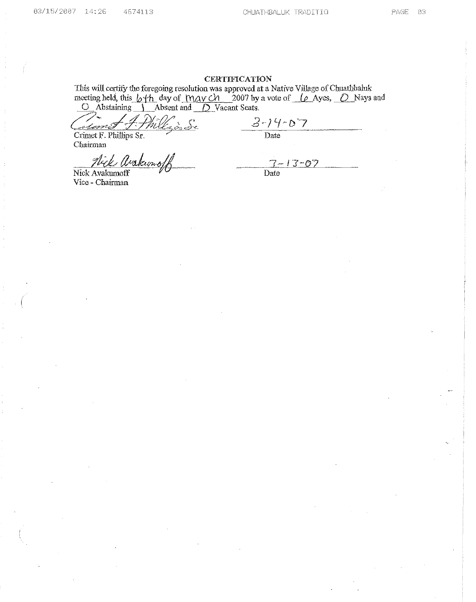# **CERTIFICATION**

This will certify the foregoing resolution was approved at a Native Village of Chuathbaluk meeting held, this *b*+*h* day of <u>May ch</u> 2007 by a vote of *le* Ayes, *O* Nays and<br>O Abstaining J Absent and *D* Vacant Seats.

 $\int_{\mathcal{L}}$ hi š esmis

Crimet F. Phillips Sr. Chairman

Nick Arakunos

 $3 - 14 - 07$ <br>Date

Nick Avakumoff Vice - Chairman

 $7 - 13 - 07$ <br>Date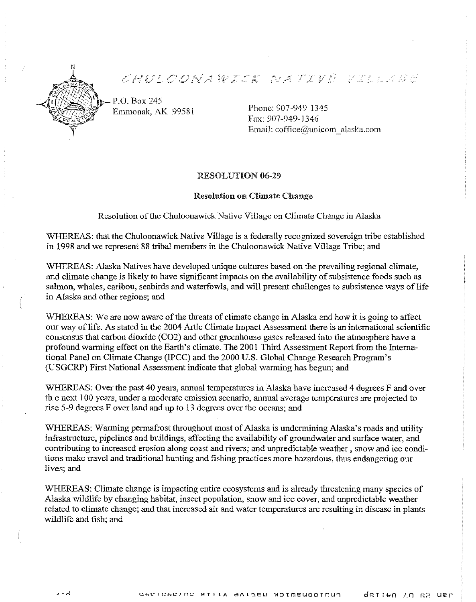

CHULODNASTE NATIVË VILLIGE

P.O. Box 245 Emmonak, AK 99581

Phone: 907-949-1345 Fax: 907-949-1346 Email: coffice@unicom\_alaska.com

# RESOLUTION 06-29

# Resolution on Climate Change

Resolution of the Chuloonawick Native Village on Climate Change in Alaska

WHEREAS: that the Chuloonawick Native Village is a federally recognized sovereign tribe established in 1998 and we represent 88 tribal members in the Chuloonawick Native Village Tribe; and

WHEREAS: Alaska Natives have developed unique cultures based on the prevailing regional climate, and climate change is likely to have significant impacts on the availability of subsistence foods such as salmon, whales, caribou, seabirds and waterfowls, and will present challenges to subsistence ways of life in Alaska and other regions; and

WHEREAS: We are now aware of the threats of climate change in Alaska and how it is going to affect our way of life. As stated in the 2004 Artic Climate Impact Assessment there is an international scientific consensus that carbon dioxide (C02) and other greenhouse gases released into the atmosphere have a profound warming effect on the Earth's climate. The 2001 Third Assessment Report from the International Panel on Climate Change (lPCC) and the 2000 U.S. Global Change Research Program's (USGCRP) First National Assessment indicate that global warming has begun; and

WHEREAS: Over the past 40 years, annual temperatures in Alaska have increased 4 degrees F and over th e next 100 years, under a moderate emission scenario, annual average temperatures are projected to rise 5-9 degrees F over land and up to 13 degrees over the oceans; and

WHEREAS: Warming permafrost throughout most of Alaska is undermining Alaska's roads and utility infrastructure, pipelines and buildings, affecting the availability of groundwater and surface water, and . contributing to increased erosion along coast and rivers; and unpredictable weather, snow and ice conditions make travel and traditional hunting and fishing practices more hazardous, thus endangering our lives; and

WHEREAS: Climate change is impacting entire ecosystems and is already threatening many species of Alaska wildlife by changing habitat, insect population, snow and ice cover, and unpredictable weather related to climate change; and that increased air and water temperatures are resulting in disease in plants wildlife and fish; and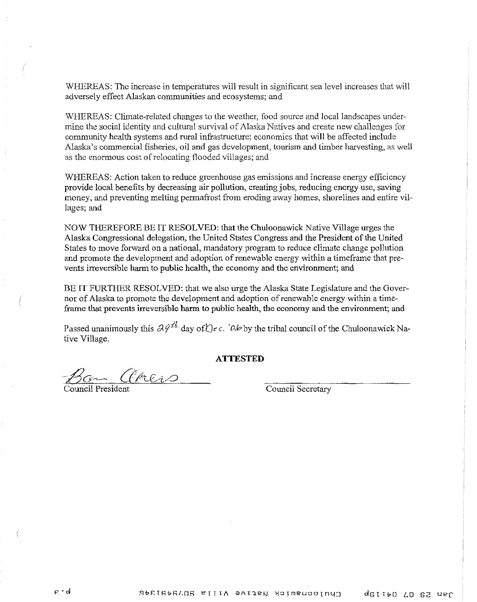WHEREAS: The increase in temperatures will result in significant sea level increases that will adversely effect Alaskan communities and ecosystems; and

WHEREAS: Climate-related changes to the weather, food source and local landscapes undermine the social identity and cultural survival of Alaska Natives and create new challenges for community health systems and rural infrastructure; economics that will be affected include Alaska's commercial fisheries, oil and gas development, tourism and timber harvesting, as well as the enormous cost of relocating flooded villages; and

WHEREAS: Action taken to reduce greenhouse gas emissions and increase energy efficiency provide local benefits by decreasing air pollution, creating jobs, reducing energy use, saving money, and preventing melting permafrost from eroding away homes, shorelines and entire villages; and

NOW THEREFORE BE IT RESOLVED: that the Chuloonawick Native Village urges the Alaska Congressional delegation, the United States Congress and the President ofthe United States to move forward on a national, mandatory program to reduce climate change pollution and promote the development and adoption ofrenewable energy within a timeframe that prevents irreversible harm to public health, the economy and the environment; and

BE IT FURTHER RESOLVED: that we also urge the Alaska State Legislature and the Governor of Alaska to promote the development and adoption ofrenewable energy within a timeframe that prevents irreversible **harm** to public health, the economy and the environment; and

Passed unanimously this  $\partial \varphi^{\sharp\sharp}$  day of  $\bigcup_{r \in \Lambda} C_r$  by the tribal council of the Chuloonawick Native Village.

#### **ATTESTED**

Ban CHEND<br>Council President Council Secretary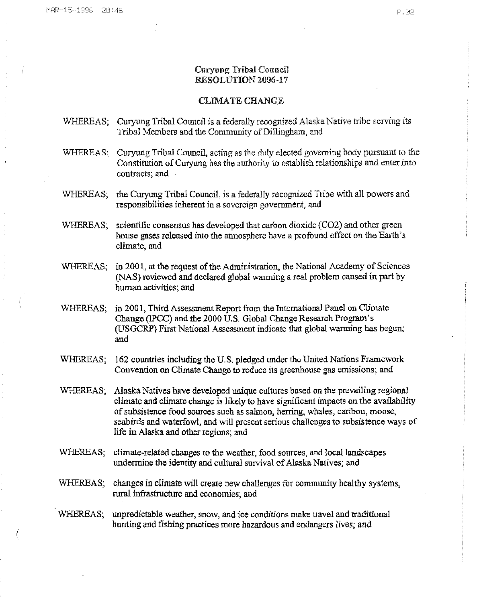# **Curyung Tribal Council** RESOLUTION 2006-17

#### **CLIMATE CHANGE**

- WHEREAS; Curyung Tribal Council is a federally recognized Alaska Native tribe serving its Tribal Members and the Community of Dillingham, and
- WHEREAS; Curyung Tribal Council, acting as the duly elected governing body pursuant to the Constitution of Curyung has the authority to establish relationships and enter into contracts; and
- WHEREAS; the Curyung Tribal Council, is a federally recognized Tribe with all powers and responsibilities inherent in a sovereign government, and
- WHEREAS: scientific consensus has developed that carbon dioxide (CO2) and other green house gases released into the atmosphere have a profound effect on the Earth's climate; and
- WHEREAS; in 2001, at the request of the Administration, the National Academy of Sciences (NAS) reviewed and declared global warming a real problem caused in part by human activities; and
- WHEREAS; in 2001, Third Assessment Report from the International Panel on Climate Change (IPCC) and the 2000 U.S. Global Change Research Program's (USGCRP) First National Assessment indicate that global warming has begun; and
- 162 countries including the U.S. pledged under the United Nations Framework WHEREAS; Convention on Climate Change to reduce its greenhouse gas emissions; and
- WHEREAS: Alaska Natives have developed unique cultures based on the prevailing regional climate and climate change is likely to have significant impacts on the availability of subsistence food sources such as salmon, herring, whales, caribou, moose, seabirds and waterfowl, and will present serious challenges to subsistence ways of life in Alaska and other regions; and
- WHEREAS: climate-related changes to the weather, food sources, and local landscapes undermine the identity and cultural survival of Alaska Natives; and
- WHEREAS; changes in climate will create new challenges for community healthy systems, rural infrastructure and economies; and
- WHEREAS. unpredictable weather, snow, and ice conditions make travel and traditional hunting and fishing practices more hazardous and endangers lives; and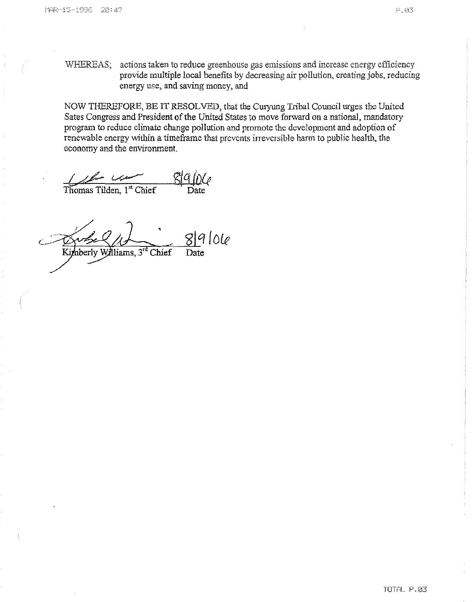WHEREAS: actions taken to reduce greenhouse gas emissions and increase energy efficiency provide multiple local benefits by decreasing air pollution, creating jobs, reducing energy use, and saving money, and

NOW THEREFORE, BE IT RESOLVED, that the Curyung Tribal Council urges the United Sates Congress and President of the United States to move forward on a national, mandatory program to reduce climate change pollution and promote the development and adoption of renewable energy within a timeframe that prevents irreversible harm to public health, the economy and the environment.

 $\frac{1}{\sqrt{\frac{1}{2}} \cdot \frac{1}{\sqrt{\frac{1}{2}} \cdot \frac{1}{\sqrt{\frac{1}{2}} \cdot \frac{1}{\sqrt{\frac{1}{2}} \cdot \frac{1}{\sqrt{\frac{1}{2}} \cdot \frac{1}{\sqrt{\frac{1}{2}} \cdot \frac{1}{\sqrt{\frac{1}{2}} \cdot \frac{1}{\sqrt{\frac{1}{2}} \cdot \frac{1}{\sqrt{\frac{1}{2}} \cdot \frac{1}{\sqrt{\frac{1}{2}} \cdot \frac{1}{\sqrt{\frac{1}{2}} \cdot \frac{1}{\sqrt{\frac{1}{2}} \cdot \frac{1}{\sqrt{\frac{1}{2}} \cdot \frac{1}{\sqrt{\frac{1}{$ 

 $89106$ Kimberly Williams, 3<sup>rd</sup> Chief Date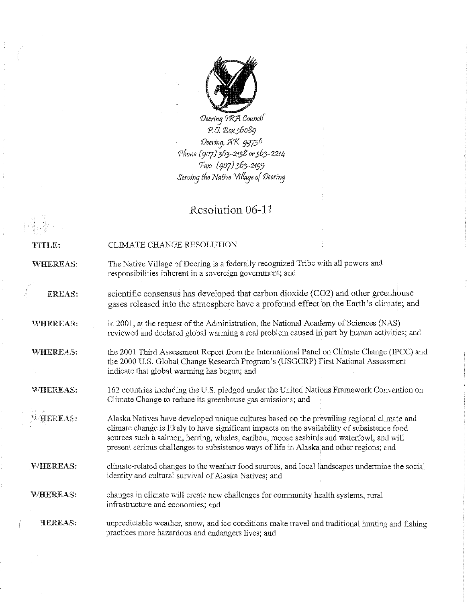

*1JeerinJ* 9'R;'l*Councf( ea '80?,36089 1J,,,,"'3' :l/1<. 99736 'Phone (9°7)363-2/38 or363-22.14 'Fa?" (907)*3*63-*2f*9'J*  $Serving$  the *Native Village* of *Deering* 

# Resolution 06-11

| <b>TITLE:</b> | CLIMATE CHANGE RESOLUTION |  |  |
|---------------|---------------------------|--|--|
|               |                           |  |  |

WHEREAS: The Native Village of Deering is a federally recognized Tribe with all powers and responsibilities inherent in a sovereign government; and

EREAS: scientific consensus has developed that carbon dioxide (CO2) and other greenhouse gases released into the atmosphere have a profound effect on the Earth's climate; and

in 2001, at the request of the Administration, the National Academy of Sciences (NAS) WHEREAS: reviewed and declared global warming a real problem caused in part by human activities; and

~/H.EREAS: the 2001 Third Assessment Report from the International Panel on Climate Change (IPCC) and the 2000 U,S, Global Change Research Program's (USGCRP) First National Assessment indicate that global warming has begun; and

WHEREAS: 162 countries including the U,S. pledged under the Urited Nations Framework Convention on Climate Change to reduce its greenhouse gas emissior.s; and

**WHEREAS:** Alaska Natives have developed unique cultures based on the prevailing regional climate and climate change is likely to have significant impacts on the availability of subsistence food sources such a salmon, herring, whales, caribou, moose seabirds and waterfowl, and will present serious challenges to subsistence ways of life in Alaska and other regions; and

climate-related changes to the weather food sources, and local landscapes undermine the social WHEREAS: identity and cultural survival of Alaska Natives; and

WHEREAS: changes in climate will create new challenges for community health systems, rural infrastructure **and economies; and**

**TEREAS:** unpredictable weather, snow, and ice conditions make travel and traditional hunting and fishing practices more hazardous and endangers lives; and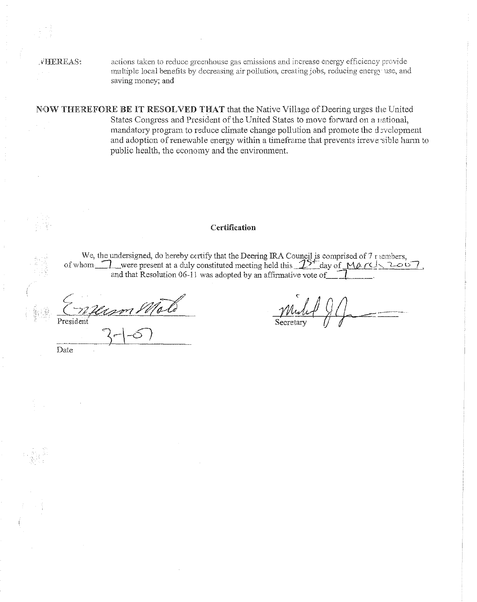Date

.vlIEREAS, actions taken to reduce greenhouse gas emissions and increase energy efficiency provide multiple local benefits by decreasing air pollution, creating jobs, reducing energy use, and saving money; and

NOW THEREFORE BE IT RESOLVED THAT that the Native Village ofDeering urges the United States Congress and President of the United States to move forward on a national, mandatory program to reduce climate change pollution and promote the development and adoption of renewable energy within a timeframe that prevents irreve sible harm to public health, the economy and the environment.

# Certification

We, the undersigned, do hereby certify that the Deering IRA Council is comprised of 7 r iembers,<br>of whom  $\frac{1}{\sqrt{2}}$  were present at a duly constituted meeting held this  $\frac{1}{\sqrt{2}}$  day of  $\frac{1}{\sqrt{2}}$   $\frac{1}{\sqrt{2}}$ and that Resolution 06-11 was adopted by an affirmative vote of

President  $3-10$ 

*Mult QQ* **\_\_\_** •••\_'C•• •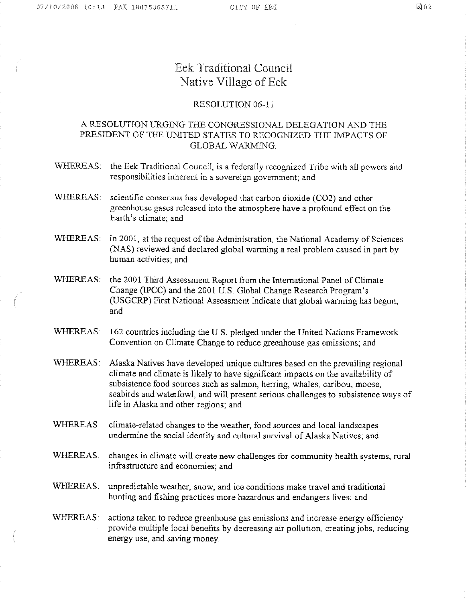# Eek Traditional Council Native Village of Eek

# RESOLUTION 06-11

# A RESOLUTION URGING THE CONGRESSIONAL DELEGATION AND THE PRESIDENT OF THE UNITED STATES TO RECOGNIZED THE IMPACTS OF GLOBAL WARMING

- WHEREAS: the Eek Traditional Council, is a federally recognized Tribe with all powers and responsibilities inherent in a sovereign government; and
- WHEREAS: scientific consensus has developed that carbon dioxide (CO2) and other greenhouse gases released into the atmosphere have a profound effect on the Earth's climate; and
- WHEREAS: in 2001, at the request of the Administration, the National Academy of Sciences (NAS) reviewed and declared global warming a real problem caused in part by human activities; and
- WHEREAS: the 2001 Third Assessment Report from the International Panel of Climate Change (IPCC) and the 2001 U.S. Global Change Research Program's (USGCRP) First National Assessment indicate that global warming has begun, and
- WHEREAS: 162 countries including the U.S. pledged under the United Nations Framework Convention on Climate Change to reduce greenhouse gas emissions; and
- WHEREAS: Alaska Natives have developed unique cultures based on the prevailing regional climate and climate is likely to have significant impacts on the availability of subsistence food sources such as salmon, herring, whales, caribou, moose, seabirds and waterfowl, and will present serious challenges to subsistence ways of life in Alaska and other regions; and
- WHEREAS: climate-related changes to the weather, food sources and local landscapes undermine the social identity and cultural survival of Alaska Natives; and
- WHEREAS: changes in climate will create new challenges for community health systems, rural infrastructure and economies; and
- WHEREAS: unpredictable weather, snow, and ice conditions make travel and traditional hunting and fishing practices more hazardous and endangers lives; and
- WHEREAS: actions taken to reduce greenhouse gas emissions and increase energy efficiency provide multiple local benefits by decreasing air pollution, creating jobs, reducing energy use, and saving money.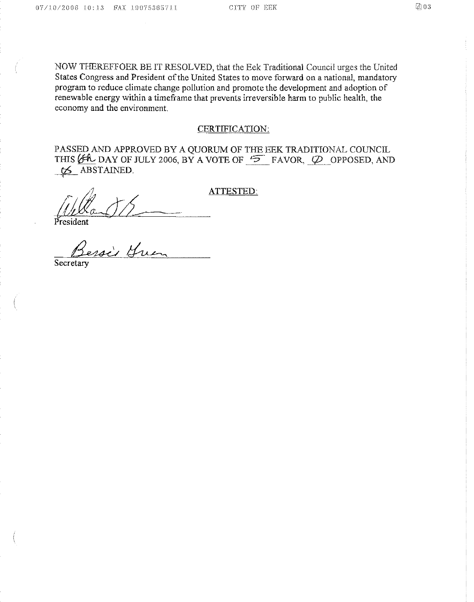NOW THEREFFOER BE IT RESOLVED, that the Eek Traditional Council urges the United States Congress and President of the United States to move forward on a national, mandatory program to reduce climate change pollution and promote the development and adoption of renewable energy within a timeframe that prevents irreversible harm to public health, the economy and the environment.

### **CERTIFICATION:**

PASSED AND APPROVED BY A QUORUM OF THE EEK TRADITIONAL COUNCIL<br>THIS (EAL DAY OF JULY 2006, BY A VOTE OF  $\overline{2}$  FAVOR,  $\overline{\varphi}$  OPPOSED, AND  $\sigma$  ABSTAINED.

Resident

ATTESTED:

Secretar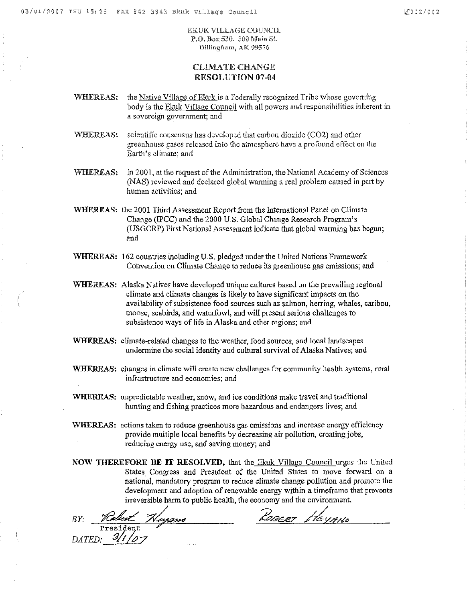EhcuK VILLAGE COUNCIL P.O. Box 530. 300 Main St. Dillingham, AK 99576

# CLIMATE CHANGE RESOLUTION 07-04

- WHEREAS: the Native Village of Ekuk is a Federally recognized Tribe whose governing body is the Ekuk Village Council with all powers and responsibilities inherent in a sovereign government; and
- WHEREAS: scientific consensus has developed that carbon dioxide (CO2) and other greenhouse gases released into tho atmosphere have a profound effect on the Earth's climate; and
- WHEREAS: in 2001, at the request of the Administration, the National Academy of Sciences (NAS) reviewed and declared global warming a real problem caused in part by human activities; and
- WHEREAS: the 2001 Third Assessment Report from the International Panel on Climate Change (IPCC) and the 2000 U.S. Global Change Research Program's (USOCRP) First National Assessment indicate that global warming has begun; and
- WHEREAS: 162 countries including U,S, pledged under the United Nations Framework Convention on Climate Change to reduce its greenhouse gas emissions; and
- WHEREAS: Alaska Natives have developed unique cnltures based on the prevailing regional climate and climate changes is likely to have significant impacts on the availability of subsistence food sources such as salmon, herring, whales, caribou, moose, seabirds, and waterfowl, and will present serious challenges to subsistence ways of life in Alaska and other regions; and
- WHEREAS; climate-related changes to the weather, food sources, and local landscapes undermine the social identity and cultural survival of Alaska Natives; and
- WHEREAS: changes in climate will create new challenges for community health systems, rural **infrastructure and** economies; **and**
- WHEREAS: unpredictable weather, snow, and ice conditions make travel and traditional hunting and fishing practices more hazardous and endangers lives; and
- WHEREAS: actions taken to reduce greenhouse gas emissions and increase energy efficiency provide multiple local benefits by decreasing air pollution, creating jobs, reducing energy use, and saving money; and
- **NOW** THEREFORE **BE IT** RESOLVED, that the Ekuk Village Council urges the United States Congress and President of the United States to move forward on a national, mandatory program to reduce climate change pollution and promote the development and adoption of renewable energy within a timeframe that prevents irreversible harm to public health, the economy and the environment.

BY: *Rabert Hosans* ROBERT HEYAND  $P$ resident  $\overline{DATED}$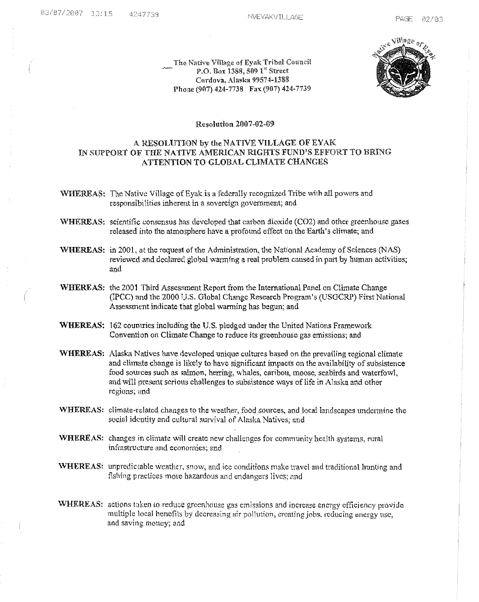The Native Village of Eyak Tribal Council 1'.0.130.1< 1388, 509 1" Street Cordova, Alaska 99574-1388 Phone (907) 424-7738 Fax (907) 424-7739



#### Resolution 2007-02-09

# A RESOLUTION by the NATIVE VILLAGE OF EVAK IN SUPPORT OF THE NATIVE AMERICAN RIGHTS FUND'S EFFORT TO BRING ATTENTION TO GLOBAL CLIMATE CHANGES

WHEREAS: The Native Village of Eyak is a federally recognized Tribe with all powers and responsibilities inherent in a sovereign.government; and

- WHEREAS: scientific consensus has developed that carbon dioxide (C02) and other greenhouse gases released into the atmosphere have a profound effect on the Earth's climate; and
- WHEREAS: in 2001, at the request of the Administration, the National Academy of Sciences (NAS) reviewed and declared global warming a real problem caused in part by human activities; and
- WHEREAS: the 2001 Third Assessment Report from the International Panel on Climate Change (lPCC) and the 2000 1].S. Global Change Research Program's (USGCRP) First National Assessment indicate that global warming has begun; and
- WHEREAS: 162 countries including the U.S. pledged under the United Nations Framework Convention on Climate Change to reduce its greenhouse gas emissions; and
- WHEREAS: Alaska Natives have developed unique cultures based on the prevailing regional climate and climate change is likely to have significant impacts on the availability of subsistence food sources such as salmon, herring, whales, caribou, moose, seabirds and waterfowl, and will present serious challenges to subsistence ways of life in Alaska and other regions; und
- WHEREAS: climate-related changes to the weather, food sources, and local landscapes undermine the social identity and cultural survival of Alaska Natives; and
- WHEREAS: changes in climate will create new challenges for community health systems, rural infrastructure and **economics;** and
- WHEREAS' unpredictable weather, snow, and icc conditions make travel and traditional hunting and fishing practices more hazardous and endangers lives; and
- WHEREAS: actions taken to reduce greenhouse gas emissions and increase energy efficiency provide multiple local benefits by decreasing air pollution, creating jobs, reducing energy use, **and saving** money; and